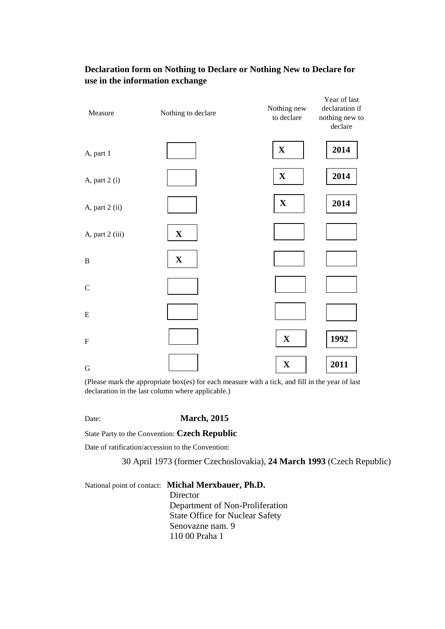| Measure                   | Nothing to declare | Nothing new<br>to declare | Year of last<br>declaration if<br>nothing new to<br>declare |  |
|---------------------------|--------------------|---------------------------|-------------------------------------------------------------|--|
| A, part 1                 |                    | $\mathbf X$               | 2014                                                        |  |
| A, part 2 (i)             |                    | $\mathbf X$               | 2014                                                        |  |
| A, part 2 (ii)            |                    | $\mathbf X$               | 2014                                                        |  |
| A, part 2 (iii)           | $\mathbf X$        |                           |                                                             |  |
| $\mathbf B$               | $\mathbf X$        |                           |                                                             |  |
| $\mathbf C$               |                    |                           |                                                             |  |
| ${\bf E}$                 |                    |                           |                                                             |  |
| $\boldsymbol{\mathrm{F}}$ |                    | $\mathbf X$               | 1992                                                        |  |
| ${\bf G}$                 |                    | $\mathbf X$               | 2011                                                        |  |

## **Declaration form on Nothing to Declare or Nothing New to Declare for use in the information exchange**

(Please mark the appropriate box(es) for each measure with a tick, and fill in the year of last declaration in the last column where applicable.)

Date: **March, 2015** 

State Party to the Convention: **Czech Republic** 

Date of ratification/accession to the Convention:

30 April 1973 (former Czechoslovakia), **24 March 1993** (Czech Republic)

National point of contact: **Michal Merxbauer, Ph.D.** Director Department of Non-Proliferation State Office for Nuclear Safety Senovazne nam. 9 110 00 Praha 1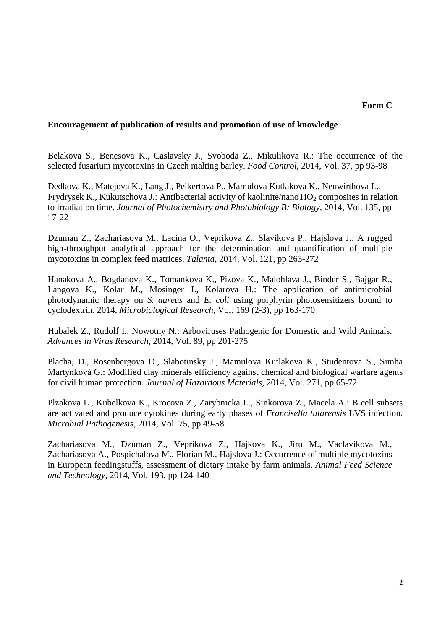## **Encouragement of publication of results and promotion of use of knowledge**

Belakova S., Benesova K., Caslavsky J., Svoboda Z., Mikulikova R.: The occurrence of the selected fusarium mycotoxins in Czech malting barley. *Food Control*, 2014, Vol. 37, pp 93-98

Dedkova K., Matejova K., Lang J., Peikertova P., Mamulova Kutlakova K., Neuwirthova L., Frydrysek K., Kukutschova J.: Antibacterial activity of kaolinite/nanoTiO<sub>2</sub> composites in relation to irradiation time. *Journal of Photochemistry and Photobiology B: Biology*, 2014, Vol. 135, pp 17-22

Dzuman Z., Zachariasova M., Lacina O., Veprikova Z., Slavikova P., Hajslova J.: A rugged high-throughput analytical approach for the determination and quantification of multiple mycotoxins in complex feed matrices. *Talanta*, 2014, Vol. 121, pp 263-272

Hanakova A., Bogdanova K., Tomankova K., Pizova K., Malohlava J., Binder S., Bajgar R., Langova K., Kolar M., Mosinger J., Kolarova H.: The application of antimicrobial photodynamic therapy on *S. aureus* and *E. coli* using porphyrin photosensitizers bound to cyclodextrin. 2014, *Microbiological Research*, Vol. 169 (2-3), pp 163-170

Hubalek Z., Rudolf I., Nowotny N.: Arboviruses Pathogenic for Domestic and Wild Animals. *Advances in Virus Research*, 2014, Vol. 89, pp 201-275

Placha, D., Rosenbergova D., Slabotinsky J., Mamulova Kutlakova K., Studentova S., Simha Martynková G.: Modified clay minerals efficiency against chemical and biological warfare agents for civil human protection. *Journal of Hazardous Materials*, 2014, Vol. 271, pp 65-72

Plzakova L., Kubelkova K., Krocova Z., Zarybnicka L., Sinkorova Z., Macela A.: B cell subsets are activated and produce cytokines during early phases of *Francisella tularensis* LVS infection. *Microbial Pathogenesis*, 2014, Vol. 75, pp 49-58

Zachariasova M., Dzuman Z., Veprikova Z., Hajkova K., Jiru M., Vaclavikova M., Zachariasova A., Pospichalova M., Florian M., Hajslova J.: Occurrence of multiple mycotoxins in European feedingstuffs, assessment of dietary intake by farm animals. *Animal Feed Science and Technology*, 2014, Vol. 193, pp 124-140